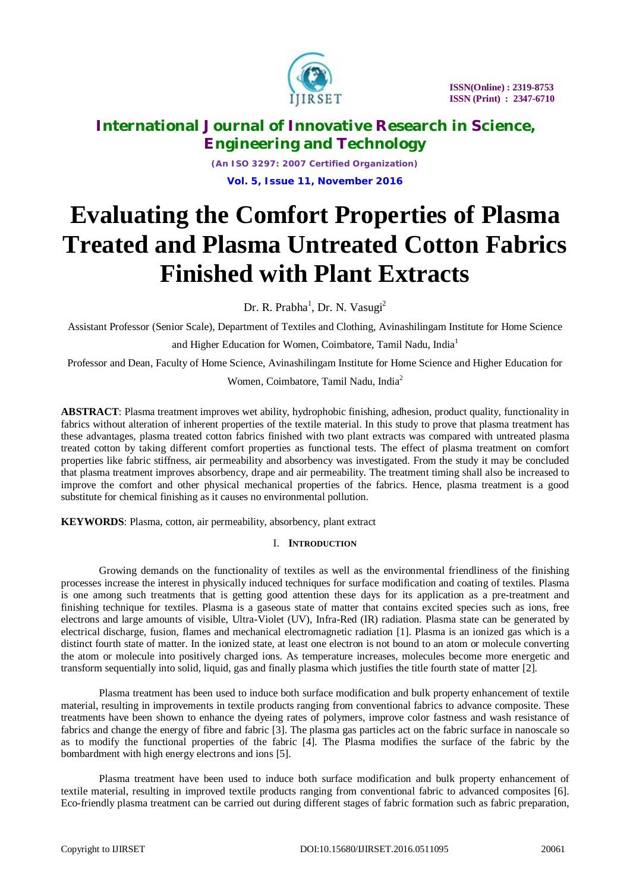

*(An ISO 3297: 2007 Certified Organization)* **Vol. 5, Issue 11, November 2016**

# **Evaluating the Comfort Properties of Plasma Treated and Plasma Untreated Cotton Fabrics Finished with Plant Extracts**

Dr. R. Prabha<sup>1</sup>, Dr. N. Vasugi<sup>2</sup>

Assistant Professor (Senior Scale), Department of Textiles and Clothing, Avinashilingam Institute for Home Science

and Higher Education for Women, Coimbatore, Tamil Nadu, India<sup>1</sup>

Professor and Dean, Faculty of Home Science, Avinashilingam Institute for Home Science and Higher Education for

Women, Coimbatore, Tamil Nadu, India<sup>2</sup>

**ABSTRACT**: Plasma treatment improves wet ability, hydrophobic finishing, adhesion, product quality, functionality in fabrics without alteration of inherent properties of the textile material. In this study to prove that plasma treatment has these advantages, plasma treated cotton fabrics finished with two plant extracts was compared with untreated plasma treated cotton by taking different comfort properties as functional tests. The effect of plasma treatment on comfort properties like fabric stiffness, air permeability and absorbency was investigated. From the study it may be concluded that plasma treatment improves absorbency, drape and air permeability. The treatment timing shall also be increased to improve the comfort and other physical mechanical properties of the fabrics. Hence, plasma treatment is a good substitute for chemical finishing as it causes no environmental pollution.

**KEYWORDS**: Plasma, cotton, air permeability, absorbency, plant extract

# I. **INTRODUCTION**

Growing demands on the functionality of textiles as well as the environmental friendliness of the finishing processes increase the interest in physically induced techniques for surface modification and coating of textiles. Plasma is one among such treatments that is getting good attention these days for its application as a pre-treatment and finishing technique for textiles. Plasma is a gaseous state of matter that contains excited species such as ions, free electrons and large amounts of visible, Ultra-Violet (UV), Infra-Red (IR) radiation. Plasma state can be generated by electrical discharge, fusion, flames and mechanical electromagnetic radiation [1]. Plasma is an ionized gas which is a distinct fourth state of matter. In the ionized state, at least one electron is not bound to an atom or molecule converting the atom or molecule into positively charged ions. As temperature increases, molecules become more energetic and transform sequentially into solid, liquid, gas and finally plasma which justifies the title fourth state of matter [2].

Plasma treatment has been used to induce both surface modification and bulk property enhancement of textile material, resulting in improvements in textile products ranging from conventional fabrics to advance composite. These treatments have been shown to enhance the dyeing rates of polymers, improve color fastness and wash resistance of fabrics and change the energy of fibre and fabric [3]. The plasma gas particles act on the fabric surface in nanoscale so as to modify the functional properties of the fabric [4]. The Plasma modifies the surface of the fabric by the bombardment with high energy electrons and ions [5].

Plasma treatment have been used to induce both surface modification and bulk property enhancement of textile material, resulting in improved textile products ranging from conventional fabric to advanced composites [6]. Eco-friendly plasma treatment can be carried out during different stages of fabric formation such as fabric preparation,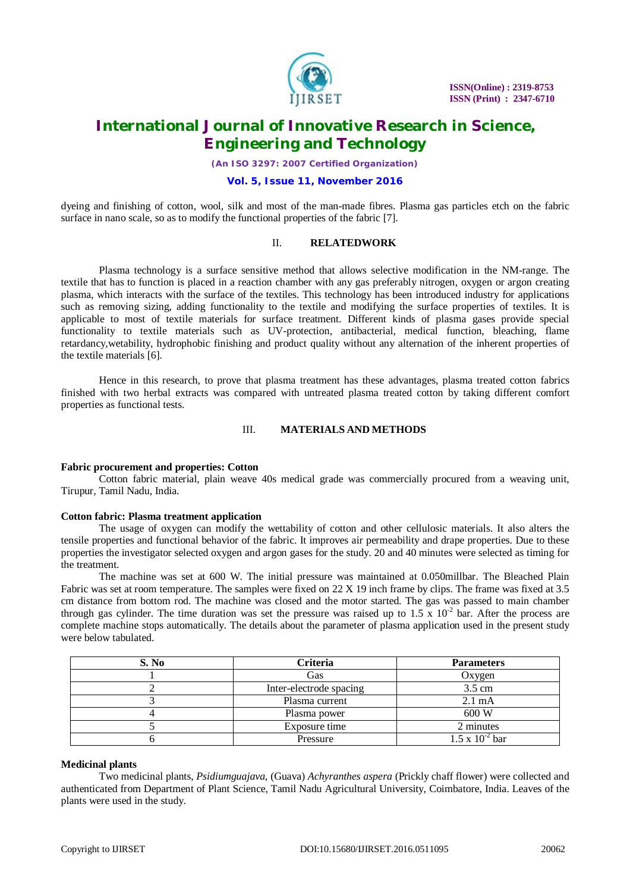

*(An ISO 3297: 2007 Certified Organization)*

# **Vol. 5, Issue 11, November 2016**

dyeing and finishing of cotton, wool, silk and most of the man-made fibres. Plasma gas particles etch on the fabric surface in nano scale, so as to modify the functional properties of the fabric [7].

# II. **RELATEDWORK**

Plasma technology is a surface sensitive method that allows selective modification in the NM-range. The textile that has to function is placed in a reaction chamber with any gas preferably nitrogen, oxygen or argon creating plasma, which interacts with the surface of the textiles. This technology has been introduced industry for applications such as removing sizing, adding functionality to the textile and modifying the surface properties of textiles. It is applicable to most of textile materials for surface treatment. Different kinds of plasma gases provide special functionality to textile materials such as UV-protection, antibacterial, medical function, bleaching, flame retardancy,wetability, hydrophobic finishing and product quality without any alternation of the inherent properties of the textile materials [6].

Hence in this research, to prove that plasma treatment has these advantages, plasma treated cotton fabrics finished with two herbal extracts was compared with untreated plasma treated cotton by taking different comfort properties as functional tests.

### III. **MATERIALS AND METHODS**

#### **Fabric procurement and properties: Cotton**

Cotton fabric material, plain weave 40s medical grade was commercially procured from a weaving unit, Tirupur, Tamil Nadu, India.

#### **Cotton fabric: Plasma treatment application**

The usage of oxygen can modify the wettability of cotton and other cellulosic materials. It also alters the tensile properties and functional behavior of the fabric. It improves air permeability and drape properties. Due to these properties the investigator selected oxygen and argon gases for the study. 20 and 40 minutes were selected as timing for the treatment.

The machine was set at 600 W. The initial pressure was maintained at 0.050millbar. The Bleached Plain Fabric was set at room temperature. The samples were fixed on 22 X 19 inch frame by clips. The frame was fixed at 3.5 cm distance from bottom rod. The machine was closed and the motor started. The gas was passed to main chamber through gas cylinder. The time duration was set the pressure was raised up to  $1.5 \times 10^{-2}$  bar. After the process are complete machine stops automatically. The details about the parameter of plasma application used in the present study were below tabulated.

| S. No | Criteria                | <b>Parameters</b>                |
|-------|-------------------------|----------------------------------|
|       | Gas                     | Oxygen                           |
|       | Inter-electrode spacing | $3.5 \text{ cm}$                 |
|       | Plasma current          | $2.1 \text{ mA}$                 |
|       | Plasma power            | 600 W                            |
|       | Exposure time           | 2 minutes                        |
|       | Pressure                | $\sqrt{5x}$ 10 <sup>-2</sup> bar |

# **Medicinal plants**

Two medicinal plants, *Psidiumguajava*, (Guava) *Achyranthes aspera* (Prickly chaff flower) were collected and authenticated from Department of Plant Science, Tamil Nadu Agricultural University, Coimbatore, India. Leaves of the plants were used in the study.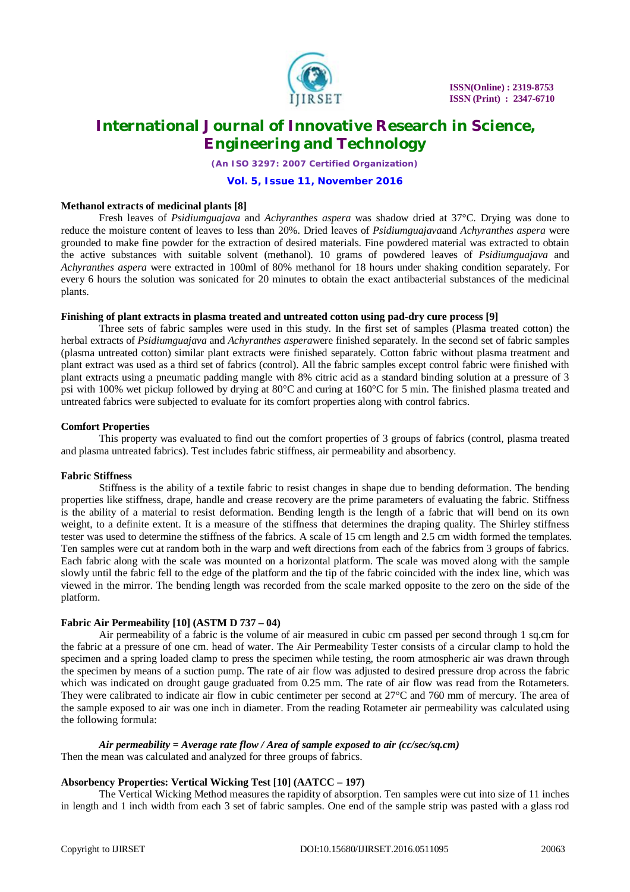

*(An ISO 3297: 2007 Certified Organization)*

### **Vol. 5, Issue 11, November 2016**

### **Methanol extracts of medicinal plants [8]**

Fresh leaves of *Psidiumguajava* and *Achyranthes aspera* was shadow dried at 37°C. Drying was done to reduce the moisture content of leaves to less than 20%. Dried leaves of *Psidiumguajava*and *Achyranthes aspera* were grounded to make fine powder for the extraction of desired materials. Fine powdered material was extracted to obtain the active substances with suitable solvent (methanol). 10 grams of powdered leaves of *Psidiumguajava* and *Achyranthes aspera* were extracted in 100ml of 80% methanol for 18 hours under shaking condition separately. For every 6 hours the solution was sonicated for 20 minutes to obtain the exact antibacterial substances of the medicinal plants.

### **Finishing of plant extracts in plasma treated and untreated cotton using pad-dry cure process [9]**

Three sets of fabric samples were used in this study. In the first set of samples (Plasma treated cotton) the herbal extracts of *Psidiumguajava* and *Achyranthes aspera*were finished separately. In the second set of fabric samples (plasma untreated cotton) similar plant extracts were finished separately. Cotton fabric without plasma treatment and plant extract was used as a third set of fabrics (control). All the fabric samples except control fabric were finished with plant extracts using a pneumatic padding mangle with 8% citric acid as a standard binding solution at a pressure of 3 psi with 100% wet pickup followed by drying at 80°C and curing at 160°C for 5 min. The finished plasma treated and untreated fabrics were subjected to evaluate for its comfort properties along with control fabrics.

### **Comfort Properties**

This property was evaluated to find out the comfort properties of 3 groups of fabrics (control, plasma treated and plasma untreated fabrics). Test includes fabric stiffness, air permeability and absorbency.

#### **Fabric Stiffness**

Stiffness is the ability of a textile fabric to resist changes in shape due to bending deformation. The bending properties like stiffness, drape, handle and crease recovery are the prime parameters of evaluating the fabric. Stiffness is the ability of a material to resist deformation. Bending length is the length of a fabric that will bend on its own weight, to a definite extent. It is a measure of the stiffness that determines the draping quality. The Shirley stiffness tester was used to determine the stiffness of the fabrics. A scale of 15 cm length and 2.5 cm width formed the templates. Ten samples were cut at random both in the warp and weft directions from each of the fabrics from 3 groups of fabrics. Each fabric along with the scale was mounted on a horizontal platform. The scale was moved along with the sample slowly until the fabric fell to the edge of the platform and the tip of the fabric coincided with the index line, which was viewed in the mirror. The bending length was recorded from the scale marked opposite to the zero on the side of the platform.

# **Fabric Air Permeability [10] (ASTM D 737 – 04)**

Air permeability of a fabric is the volume of air measured in cubic cm passed per second through 1 sq.cm for the fabric at a pressure of one cm. head of water. The Air Permeability Tester consists of a circular clamp to hold the specimen and a spring loaded clamp to press the specimen while testing, the room atmospheric air was drawn through the specimen by means of a suction pump. The rate of air flow was adjusted to desired pressure drop across the fabric which was indicated on drought gauge graduated from 0.25 mm. The rate of air flow was read from the Rotameters. They were calibrated to indicate air flow in cubic centimeter per second at 27°C and 760 mm of mercury. The area of the sample exposed to air was one inch in diameter. From the reading Rotameter air permeability was calculated using the following formula:

# *Air permeability = Average rate flow / Area of sample exposed to air (cc/sec/sq.cm)*

Then the mean was calculated and analyzed for three groups of fabrics.

### **Absorbency Properties: Vertical Wicking Test [10] (AATCC – 197)**

The Vertical Wicking Method measures the rapidity of absorption. Ten samples were cut into size of 11 inches in length and 1 inch width from each 3 set of fabric samples. One end of the sample strip was pasted with a glass rod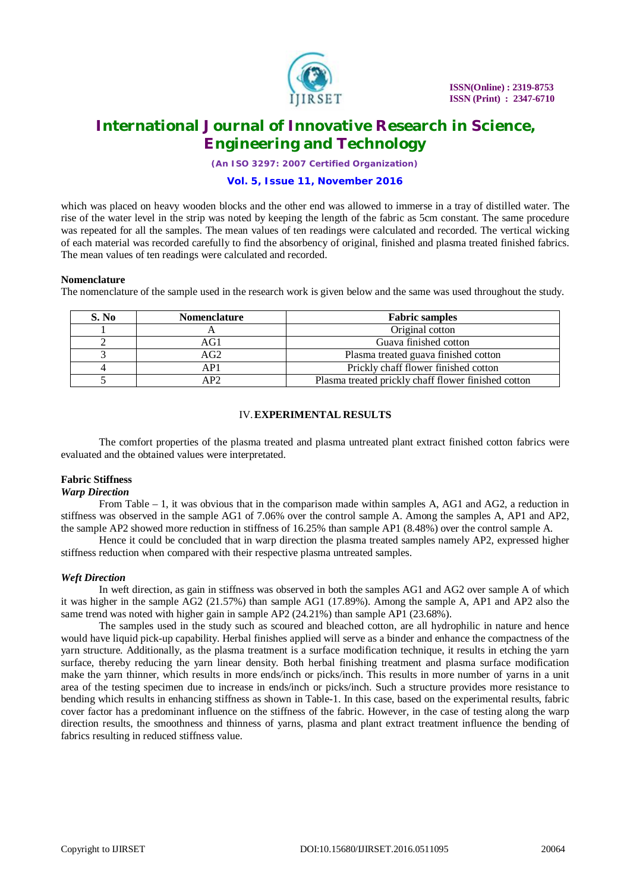

*(An ISO 3297: 2007 Certified Organization)*

# **Vol. 5, Issue 11, November 2016**

which was placed on heavy wooden blocks and the other end was allowed to immerse in a tray of distilled water. The rise of the water level in the strip was noted by keeping the length of the fabric as 5cm constant. The same procedure was repeated for all the samples. The mean values of ten readings were calculated and recorded. The vertical wicking of each material was recorded carefully to find the absorbency of original, finished and plasma treated finished fabrics. The mean values of ten readings were calculated and recorded.

#### **Nomenclature**

The nomenclature of the sample used in the research work is given below and the same was used throughout the study.

| S. No | <b>Nomenclature</b> | <b>Fabric samples</b>                               |  |  |
|-------|---------------------|-----------------------------------------------------|--|--|
|       |                     | Original cotton                                     |  |  |
|       | AG1                 | Guava finished cotton                               |  |  |
|       | AG2                 | Plasma treated guava finished cotton                |  |  |
|       | AP1                 | Prickly chaff flower finished cotton                |  |  |
|       | AP2.                | Plasma treated prickly chaff flower finished cotton |  |  |

# IV.**EXPERIMENTAL RESULTS**

The comfort properties of the plasma treated and plasma untreated plant extract finished cotton fabrics were evaluated and the obtained values were interpretated.

#### **Fabric Stiffness**

### *Warp Direction*

From Table – 1, it was obvious that in the comparison made within samples A, AG1 and AG2, a reduction in stiffness was observed in the sample AG1 of 7.06% over the control sample A. Among the samples A, AP1 and AP2, the sample AP2 showed more reduction in stiffness of 16.25% than sample AP1 (8.48%) over the control sample A.

Hence it could be concluded that in warp direction the plasma treated samples namely AP2, expressed higher stiffness reduction when compared with their respective plasma untreated samples.

### *Weft Direction*

In weft direction, as gain in stiffness was observed in both the samples AG1 and AG2 over sample A of which it was higher in the sample AG2 (21.57%) than sample AG1 (17.89%). Among the sample A, AP1 and AP2 also the same trend was noted with higher gain in sample AP2 (24.21%) than sample AP1 (23.68%).

The samples used in the study such as scoured and bleached cotton, are all hydrophilic in nature and hence would have liquid pick-up capability. Herbal finishes applied will serve as a binder and enhance the compactness of the yarn structure. Additionally, as the plasma treatment is a surface modification technique, it results in etching the yarn surface, thereby reducing the yarn linear density. Both herbal finishing treatment and plasma surface modification make the yarn thinner, which results in more ends/inch or picks/inch. This results in more number of yarns in a unit area of the testing specimen due to increase in ends/inch or picks/inch. Such a structure provides more resistance to bending which results in enhancing stiffness as shown in Table-1. In this case, based on the experimental results, fabric cover factor has a predominant influence on the stiffness of the fabric. However, in the case of testing along the warp direction results, the smoothness and thinness of yarns, plasma and plant extract treatment influence the bending of fabrics resulting in reduced stiffness value.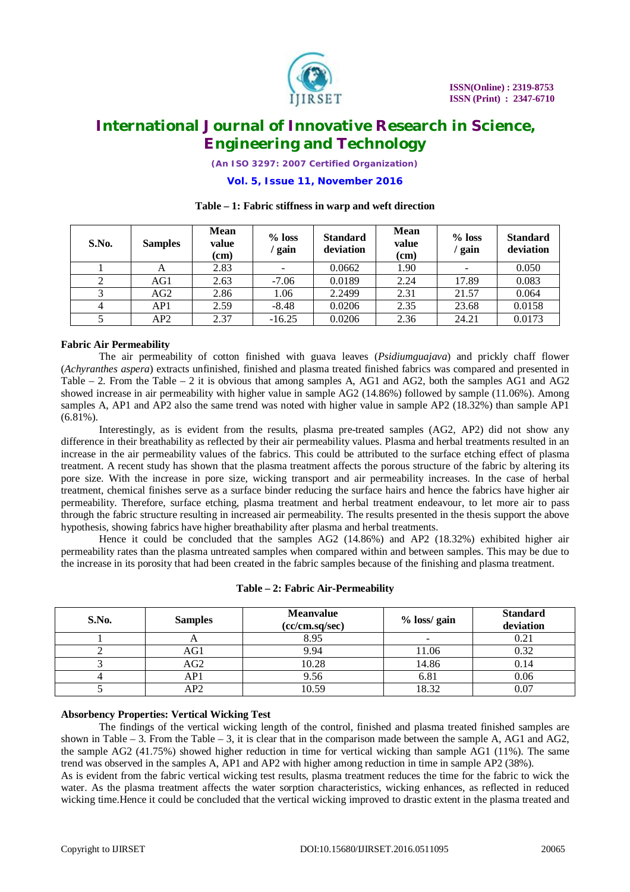

*(An ISO 3297: 2007 Certified Organization)*

### **Vol. 5, Issue 11, November 2016**

| S.No. | <b>Samples</b> | <b>Mean</b><br>value<br>(cm) | $%$ loss<br>gain         | <b>Standard</b><br>deviation | <b>Mean</b><br>value<br>(cm) | $%$ loss<br>' gain       | <b>Standard</b><br>deviation |
|-------|----------------|------------------------------|--------------------------|------------------------------|------------------------------|--------------------------|------------------------------|
|       |                | 2.83                         | $\overline{\phantom{m}}$ | 0.0662                       | 1.90                         | $\overline{\phantom{a}}$ | 0.050                        |
|       | AG1            | 2.63                         | $-7.06$                  | 0.0189                       | 2.24                         | 17.89                    | 0.083                        |
|       | AG2            | 2.86                         | 1.06                     | 2.2499                       | 2.31                         | 21.57                    | 0.064                        |
| 4     | AP1            | 2.59                         | $-8.48$                  | 0.0206                       | 2.35                         | 23.68                    | 0.0158                       |
|       | AP2            | 2.37                         | $-16.25$                 | 0.0206                       | 2.36                         | 24.21                    | 0.0173                       |

### **Table – 1: Fabric stiffness in warp and weft direction**

# **Fabric Air Permeability**

The air permeability of cotton finished with guava leaves (*Psidiumguajava*) and prickly chaff flower (*Achyranthes aspera*) extracts unfinished, finished and plasma treated finished fabrics was compared and presented in Table  $-2$ . From the Table  $-2$  it is obvious that among samples A, AG1 and AG2, both the samples AG1 and AG2 showed increase in air permeability with higher value in sample AG2 (14.86%) followed by sample (11.06%). Among samples A, AP1 and AP2 also the same trend was noted with higher value in sample AP2 (18.32%) than sample AP1 (6.81%).

Interestingly, as is evident from the results, plasma pre-treated samples (AG2, AP2) did not show any difference in their breathability as reflected by their air permeability values. Plasma and herbal treatments resulted in an increase in the air permeability values of the fabrics. This could be attributed to the surface etching effect of plasma treatment. A recent study has shown that the plasma treatment affects the porous structure of the fabric by altering its pore size. With the increase in pore size, wicking transport and air permeability increases. In the case of herbal treatment, chemical finishes serve as a surface binder reducing the surface hairs and hence the fabrics have higher air permeability. Therefore, surface etching, plasma treatment and herbal treatment endeavour, to let more air to pass through the fabric structure resulting in increased air permeability. The results presented in the thesis support the above hypothesis, showing fabrics have higher breathability after plasma and herbal treatments.

Hence it could be concluded that the samples AG2 (14.86%) and AP2 (18.32%) exhibited higher air permeability rates than the plasma untreated samples when compared within and between samples. This may be due to the increase in its porosity that had been created in the fabric samples because of the finishing and plasma treatment.

| S.No. | <b>Samples</b> | <b>Meanvalue</b><br>% loss/ gain<br>(cc/cm.sq/sec) |       | <b>Standard</b><br>deviation |
|-------|----------------|----------------------------------------------------|-------|------------------------------|
|       |                | 8.95                                               |       | 0.21                         |
|       | AG1            | 9.94                                               | 11.06 | 0.32                         |
|       | AG2            | 10.28                                              | 14.86 | 0.14                         |
|       | AP1            | 9.56                                               | 6.81  | 0.06                         |
|       | AP2            | 10.59                                              | 18.32 | 0.07                         |

# **Absorbency Properties: Vertical Wicking Test**

The findings of the vertical wicking length of the control, finished and plasma treated finished samples are shown in Table – 3. From the Table – 3, it is clear that in the comparison made between the sample A, AG1 and AG2, the sample AG2 (41.75%) showed higher reduction in time for vertical wicking than sample AG1 (11%). The same trend was observed in the samples A, AP1 and AP2 with higher among reduction in time in sample AP2 (38%). As is evident from the fabric vertical wicking test results, plasma treatment reduces the time for the fabric to wick the water. As the plasma treatment affects the water sorption characteristics, wicking enhances, as reflected in reduced wicking time.Hence it could be concluded that the vertical wicking improved to drastic extent in the plasma treated and